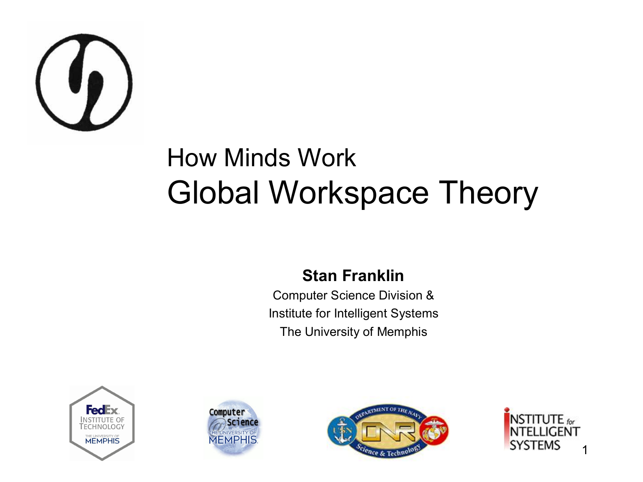

#### How Minds Work Global Workspace Theory

#### **Stan Franklin**

Computer Science Division & Institute for Intelligent Systems The University of Memphis







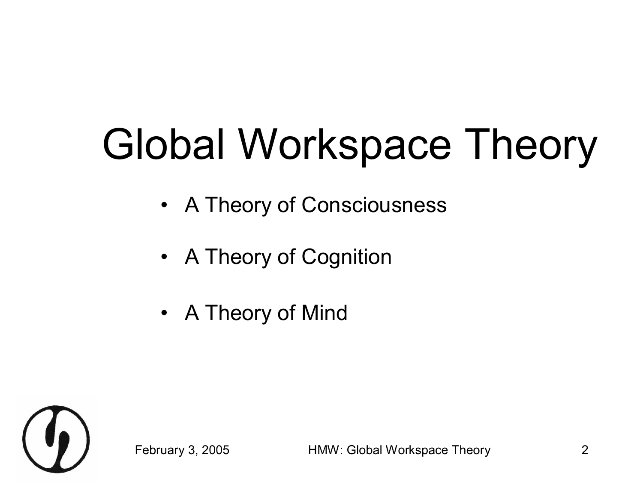# Global Workspace Theory

- A Theory of Consciousness
- A Theory of Cognition
- A Theory of Mind

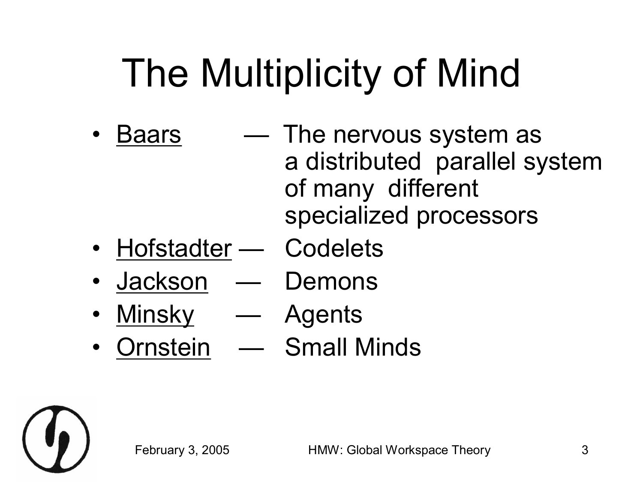# The Multiplicity of Mind

- Baars  $-$  The nervous system as a distributed parallel system of many different specialized processors
- Hofstadter Codelets
- Jackson Demons
- Minsky Agents
- Ornstein Small Minds

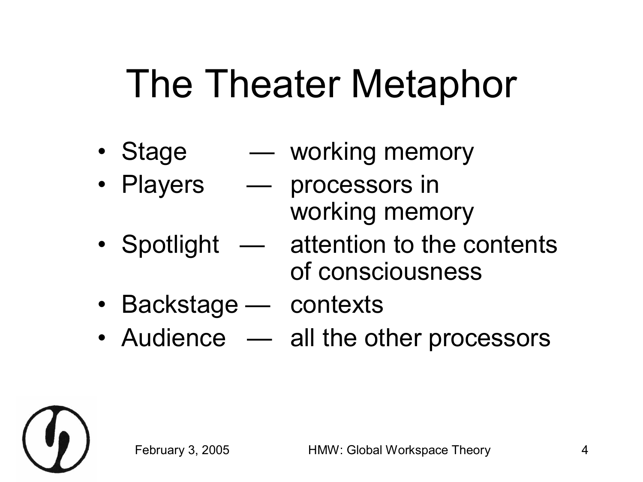### The Theater Metaphor

- Stage working memory
- Players processors in
- 
- working memory
- Spotlight attention to the contents of consciousness
- Backstage contexts
- Audience  $-$  all the other processors

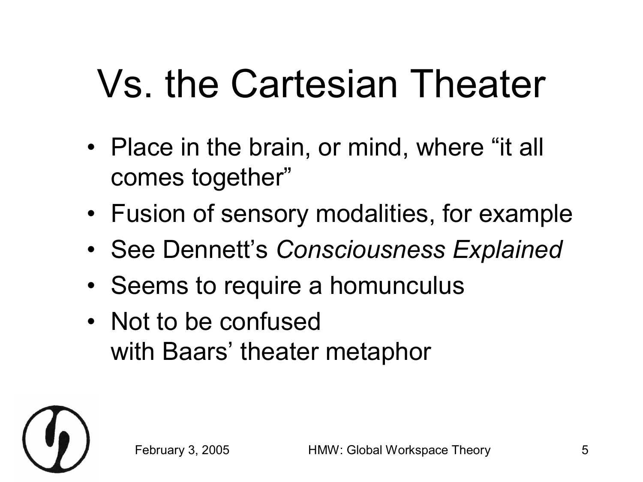# Vs. the Cartesian Theater

- Place in the brain, or mind, where "it all comes together"
- Fusion of sensory modalities, for example
- See Dennett's *Consciousness Explained*
- Seems to require a homunculus
- Not to be confused with Baars' theater metaphor

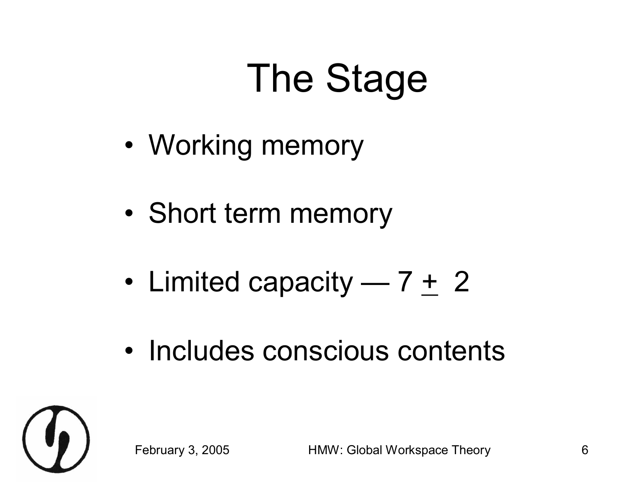# The Stage

- Working memory
- Short term memory
- Limited capacity  $7 + 2$
- Includes conscious contents

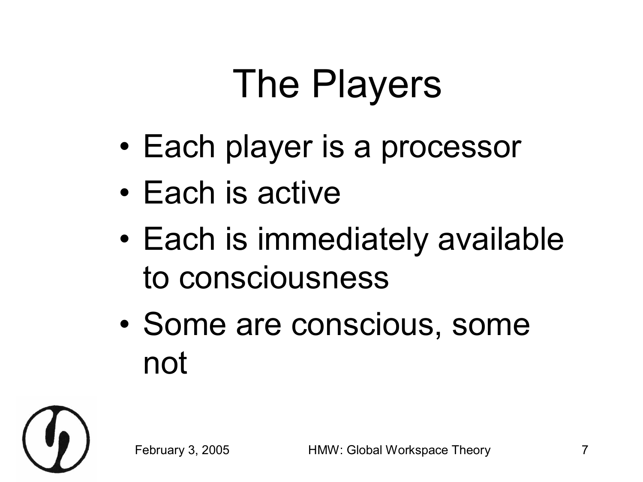# The Players

- Each player is a processor
- Each is active
- Each is immediately available to consciousness
- Some are conscious, some not

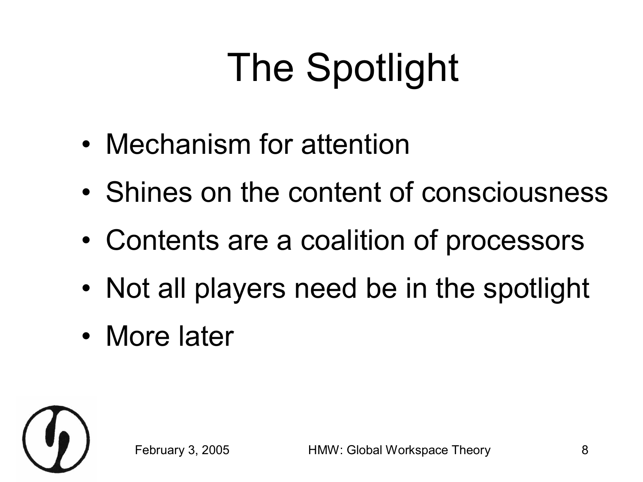# The Spotlight

- Mechanism for attention
- Shines on the content of consciousness
- Contents are a coalition of processors
- Not all players need be in the spotlight
- More later

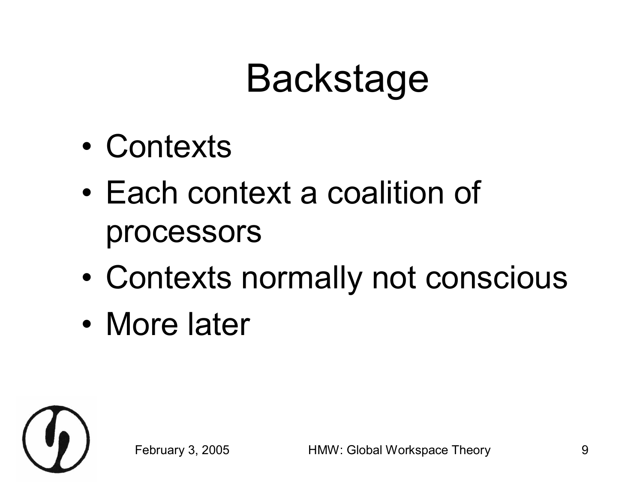### Backstage

- Contexts
- Each context a coalition of processors
- Contexts normally not conscious
- More later

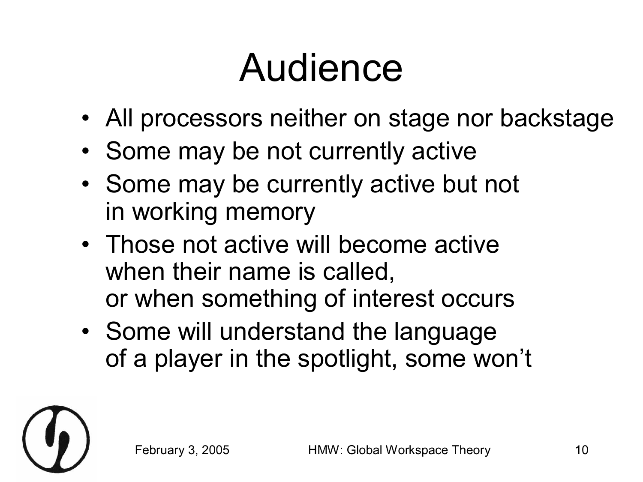#### Audience

- All processors neither on stage nor backstage
- Some may be not currently active
- Some may be currently active but not in working memory
- Those not active will become active when their name is called, or when something of interest occurs
- Some will understand the language of a player in the spotlight, some won't

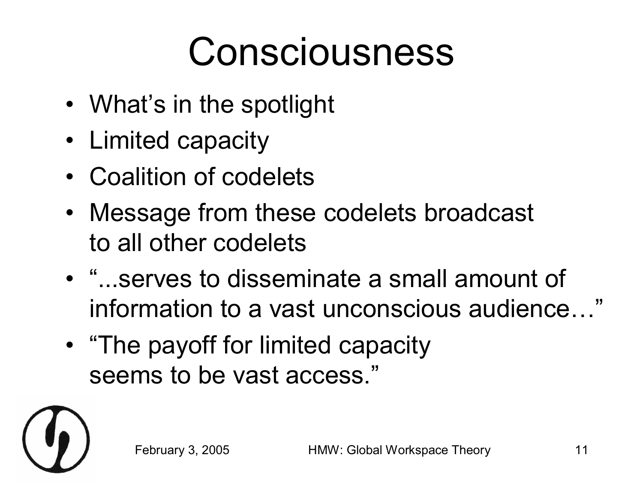#### Consciousness

- What's in the spotlight
- Limited capacity
- Coalition of codelets
- Message from these codelets broadcast to all other codelets
- "...serves to disseminate a small amount of information to a vast unconscious audience…"
- "The payoff for limited capacity seems to be vast access."

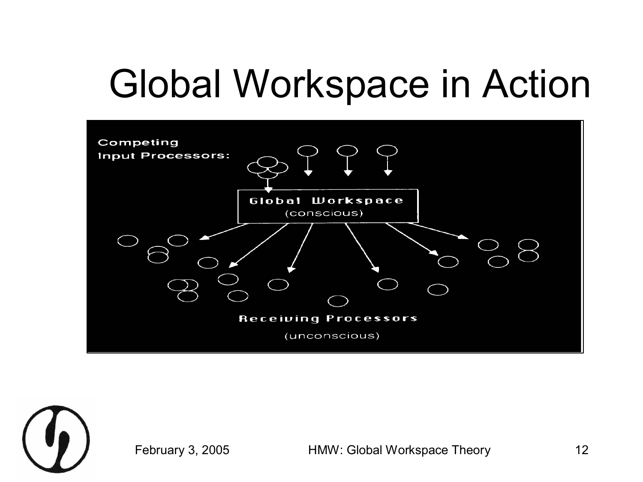### Global Workspace in Action





February 3, 2005 HMW: Global Workspace Theory 12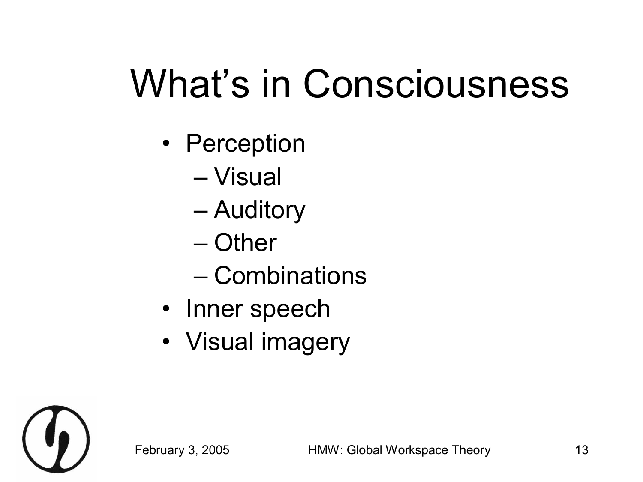# What's in Consciousness

- Perception
	- Visual
	- Auditory
	- Other
	- Combinations
- Inner speech
- Visual imagery

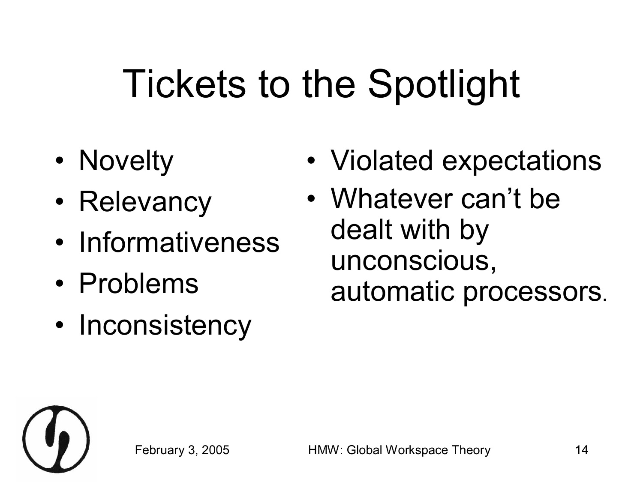# Tickets to the Spotlight

- Novelty
- Relevancy
- Informativeness
- Problems
- Inconsistency
- Violated expectations
- Whatever can't be dealt with by unconscious, automatic processors.

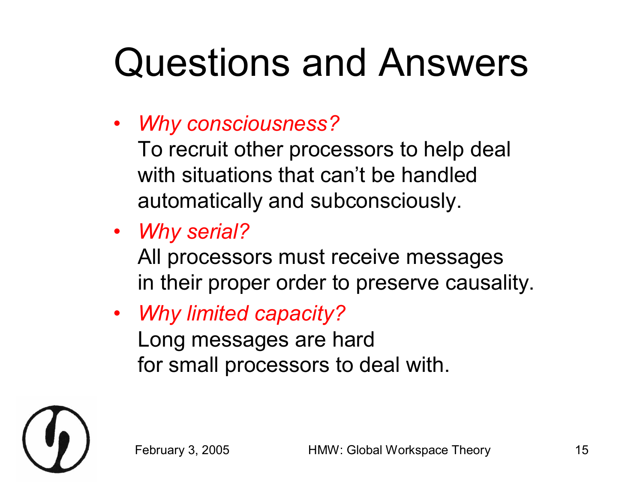# Questions and Answers

• *Why consciousness?*

To recruit other processors to help deal with situations that can't be handled automatically and subconsciously.

• *Why serial?*

All processors must receive messages in their proper order to preserve causality.

• *Why limited capacity?* Long messages are hard for small processors to deal with.

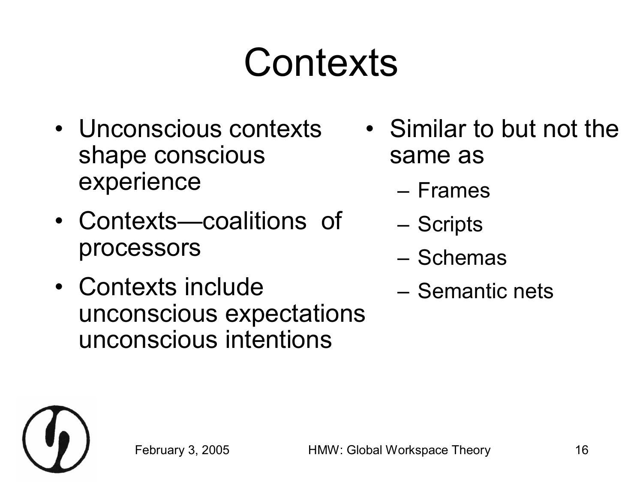### **Contexts**

- Unconscious contexts shape conscious experience
- Contexts—coalitions of processors
- Contexts include unconscious expectations unconscious intentions
- Similar to but not the same as
	- Frames
	- Scripts
	- Schemas
	- Semantic nets

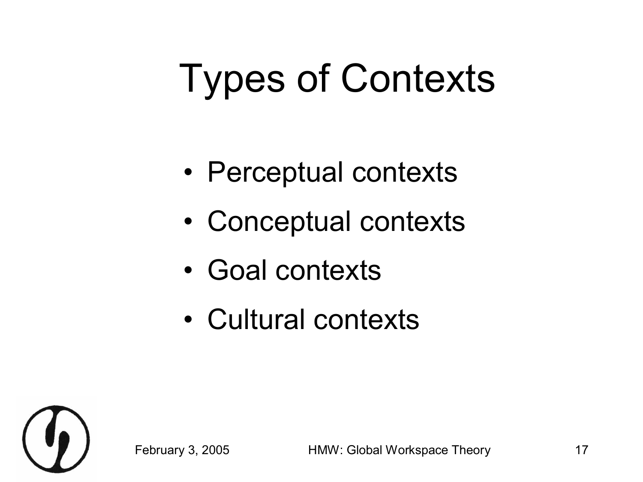# Types of Contexts

- Perceptual contexts
- Conceptual contexts
- Goal contexts
- Cultural contexts



February 3, 2005 HMW: Global Workspace Theory 17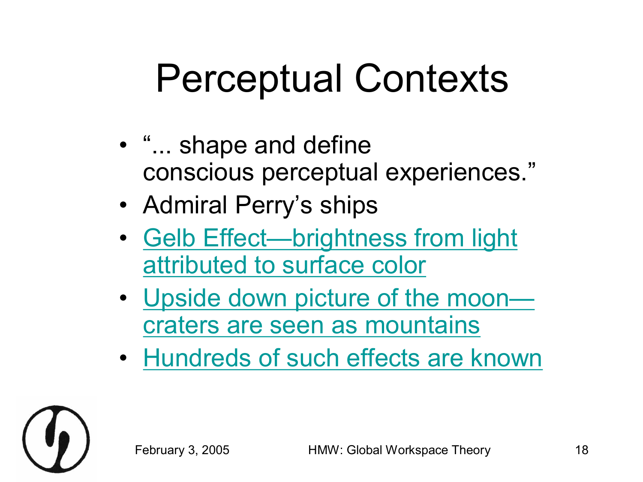#### Perceptual Contexts

- "... shape and define conscious perceptual experiences."
- Admiral Perry's ships
- [Gelb Effect—brightness](#page-18-0) from light attributed to surface color
- [Upside down picture of](#page-19-0) the mooncraters are seen as mountains
- [Hundreds of](#page-20-0) such effects are known

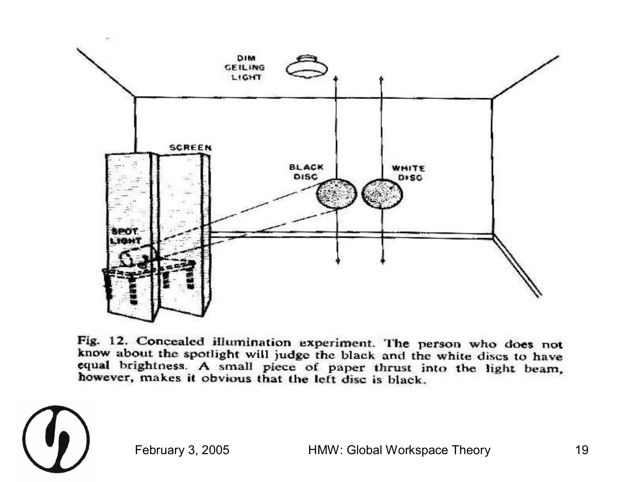<span id="page-18-0"></span>

Fig. 12. Concealed illumination experiment. The person who does not know about the spotlight will judge the black and the white discs to have equal brightness. A small piece of paper thrust into the light beam, however, makes it obvious that the left disc is black.

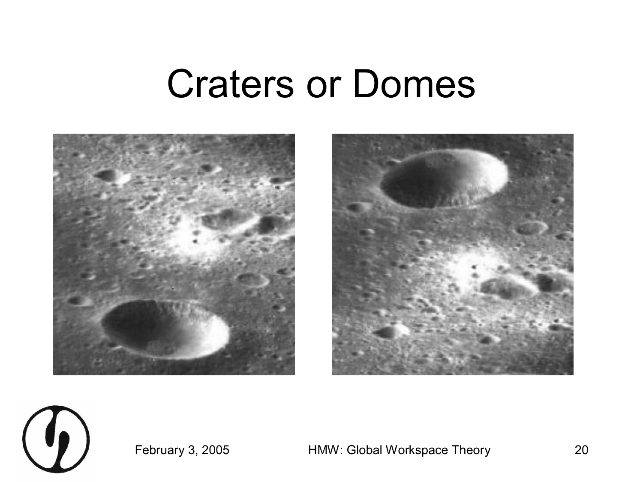#### Craters or Domes

<span id="page-19-0"></span>





February 3, 2005 HMW: Global Workspace Theory 20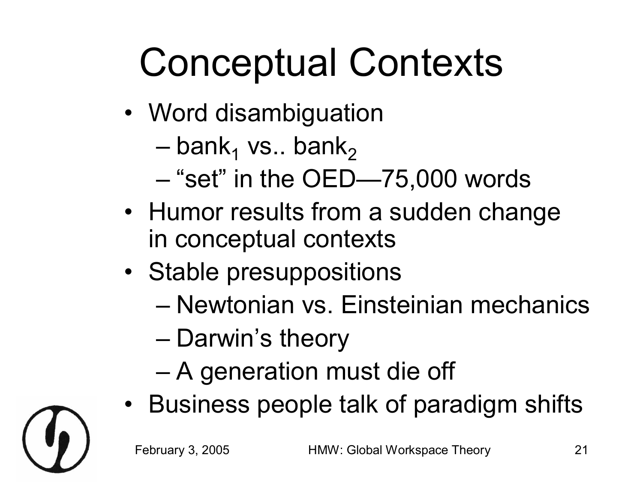# <span id="page-20-0"></span>Conceptual Contexts

- Word disambiguation
	- $-$  bank<sub>1</sub> vs.. bank<sub>2</sub>
	- "set" in the OED—75,000 words
- Humor results from a sudden change in conceptual contexts
- Stable presuppositions
	- Newtonian vs. Einsteinian mechanics
	- Darwin's theory
	- A generation must die off
- Business people talk of paradigm shifts

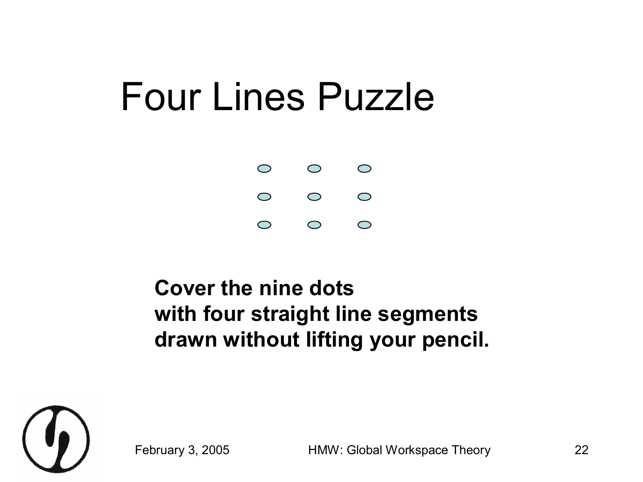#### Four Lines Puzzle



#### **Cover the nine dots with four straight line segments drawn without lifting your pencil.**



February 3, 2005 HMW: Global Workspace Theory 22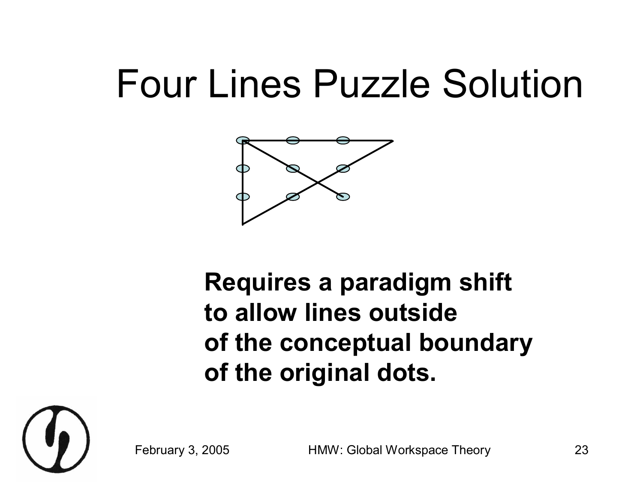#### Four Lines Puzzle Solution



#### **Requires a paradigm shift to allow lines outside of the conceptual boundary of the original dots.**



February 3, 2005 HMW: Global Workspace Theory 23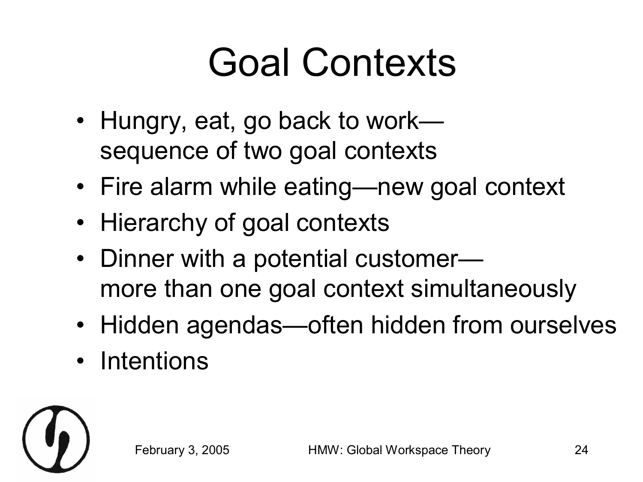# Goal Contexts

- Hungry, eat, go back to work sequence of two goal contexts
- Fire alarm while eating—new goal context
- Hierarchy of goal contexts
- Dinner with a potential customermore than one goal context simultaneously
- Hidden agendas—often hidden from ourselves
- Intentions

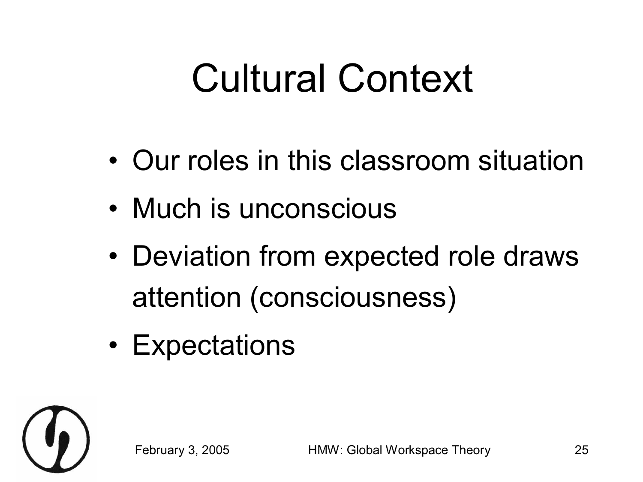#### Cultural Context

- Our roles in this classroom situation
- Much is unconscious
- Deviation from expected role draws attention (consciousness)
- Expectations

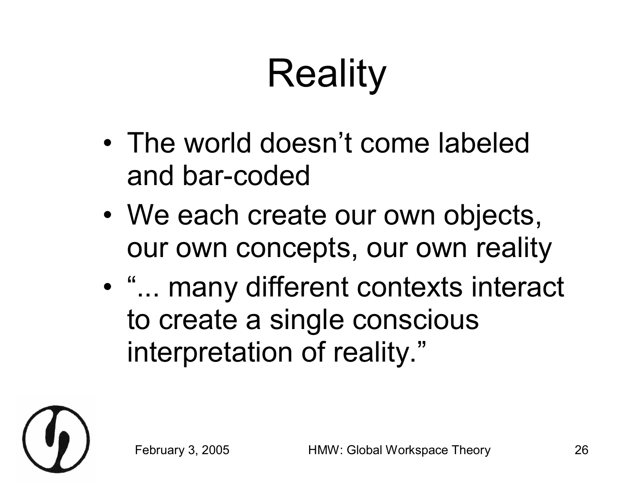# Reality

- The world doesn't come labeled and bar-coded
- We each create our own objects, our own concepts, our own reality
- "... many different contexts interact to create a single conscious interpretation of reality."

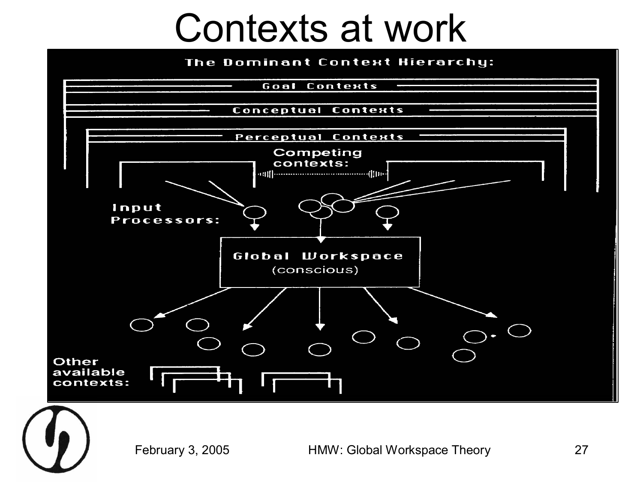#### Contexts at work

#### The Dominant Context Hierarchy:



February 3, 2005 HMW: Global Workspace Theory 27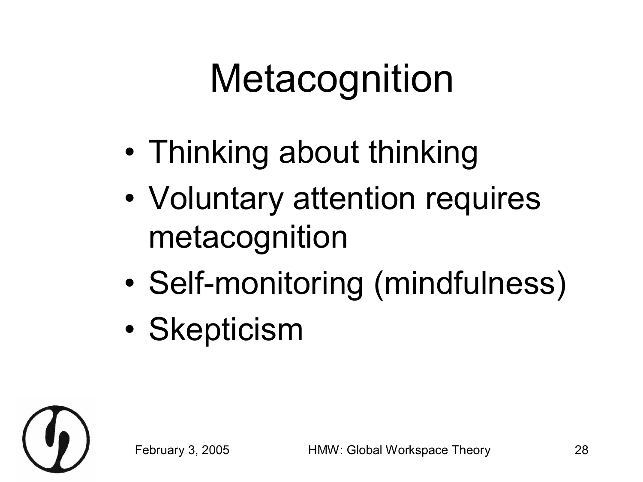# **Metacognition**

- Thinking about thinking
- Voluntary attention requires metacognition
- Self-monitoring (mindfulness)
- Skepticism

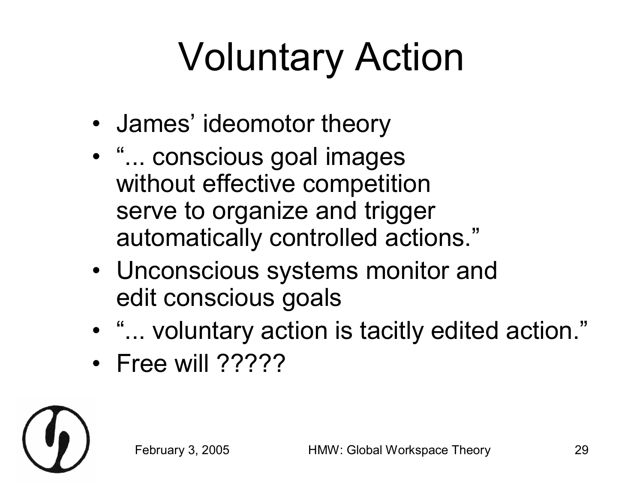# Voluntary Action

- James' ideomotor theory
- "... conscious goal images without effective competition serve to organize and trigger automatically controlled actions."
- Unconscious systems monitor and edit conscious goals
- "... voluntary action is tacitly edited action."
- Free will ?????

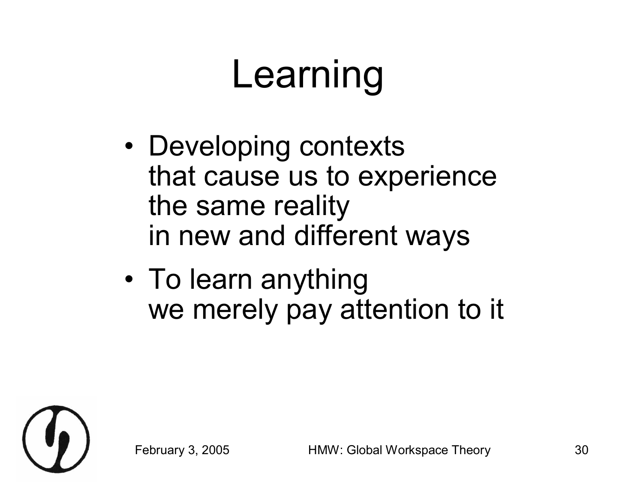# Learning

- Developing contexts that cause us to experience the same reality in new and different ways
- To learn anything we merely pay attention to it

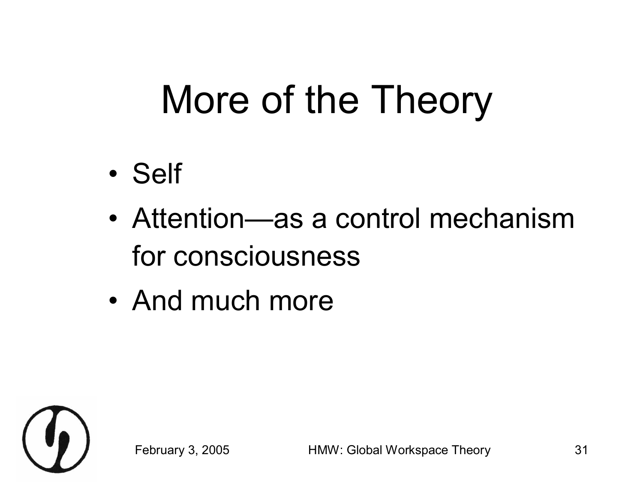### More of the Theory

- Self
- Attention—as a control mechanism for consciousness
- And much more

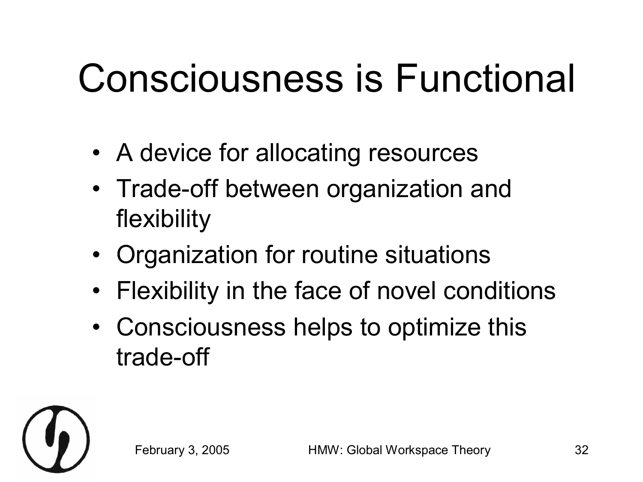# Consciousness is Functional

- A device for allocating resources
- Trade-off between organization and flexibility
- Organization for routine situations
- Flexibility in the face of novel conditions
- Consciousness helps to optimize this trade-off

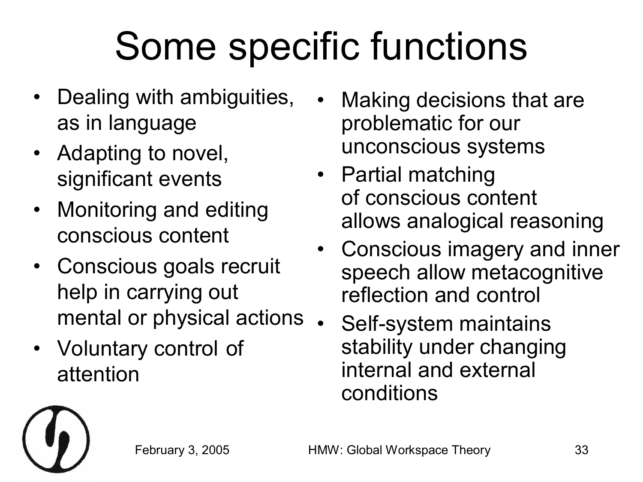# Some specific functions

- Dealing with ambiguities, as in language
- Adapting to novel, significant events
- Monitoring and editing conscious content
- Conscious goals recruit help in carrying out mental or physical actions
- Voluntary control of attention
- Making decisions that are problematic for our unconscious systems
- Partial matching of conscious content allows analogical reasoning
- Conscious imagery and inner speech allow metacognitive reflection and control
	- Self-system maintains stability under changing internal and external conditions

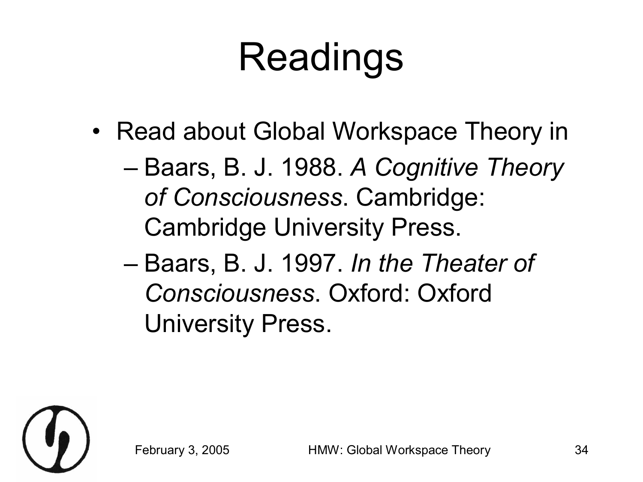# Readings

- Read about Global Workspace Theory in
	- Baars, B. J. 1988. *A Cognitive Theory of Consciousness*. Cambridge: Cambridge University Press.
	- Baars, B. J. 1997. *In the Theater of Consciousness*. Oxford: Oxford University Press.